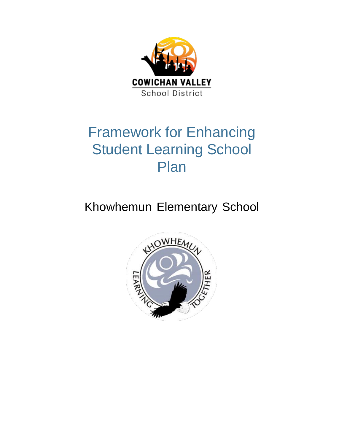

## Framework for Enhancing Student Learning School Plan

Khowhemun Elementary School

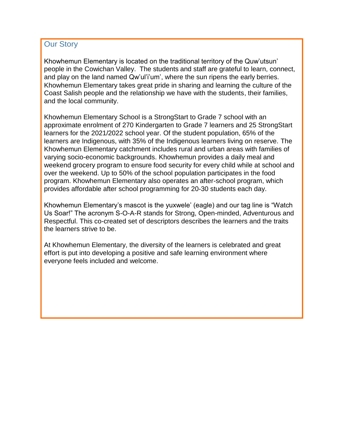## **Our Story**

Khowhemun Elementary is located on the traditional territory of the Quw'utsun' people in the Cowichan Valley. The students and staff are grateful to learn, connect, and play on the land named Qw'ul'i'um', where the sun ripens the early berries. Khowhemun Elementary takes great pride in sharing and learning the culture of the Coast Salish people and the relationship we have with the students, their families, and the local community.

Khowhemun Elementary School is a StrongStart to Grade 7 school with an approximate enrolment of 270 Kindergarten to Grade 7 learners and 25 StrongStart learners for the 2021/2022 school year. Of the student population, 65% of the learners are Indigenous, with 35% of the Indigenous learners living on reserve. The Khowhemun Elementary catchment includes rural and urban areas with families of varying socio-economic backgrounds. Khowhemun provides a daily meal and weekend grocery program to ensure food security for every child while at school and over the weekend. Up to 50% of the school population participates in the food program. Khowhemun Elementary also operates an after-school program, which provides affordable after school programming for 20-30 students each day.

Khowhemun Elementary's mascot is the yuxwele' (eagle) and our tag line is "Watch Us Soar!" The acronym S-O-A-R stands for Strong, Open-minded, Adventurous and Respectful. This co-created set of descriptors describes the learners and the traits the learners strive to be.

At Khowhemun Elementary, the diversity of the learners is celebrated and great effort is put into developing a positive and safe learning environment where everyone feels included and welcome.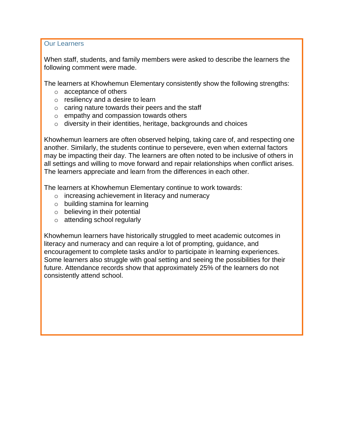Our Learners

When staff, students, and family members were asked to describe the learners the following comment were made.

The learners at Khowhemun Elementary consistently show the following strengths:

- o acceptance of others
- $\circ$  resiliency and a desire to learn
- $\circ$  caring nature towards their peers and the staff
- o empathy and compassion towards others
- o diversity in their identities, heritage, backgrounds and choices

Khowhemun learners are often observed helping, taking care of, and respecting one another. Similarly, the students continue to persevere, even when external factors may be impacting their day. The learners are often noted to be inclusive of others in all settings and willing to move forward and repair relationships when conflict arises. The learners appreciate and learn from the differences in each other.

The learners at Khowhemun Elementary continue to work towards:

- o increasing achievement in literacy and numeracy
- o building stamina for learning
- $\circ$  believing in their potential
- o attending school regularly

Khowhemun learners have historically struggled to meet academic outcomes in literacy and numeracy and can require a lot of prompting, guidance, and encouragement to complete tasks and/or to participate in learning experiences. Some learners also struggle with goal setting and seeing the possibilities for their future. Attendance records show that approximately 25% of the learners do not consistently attend school.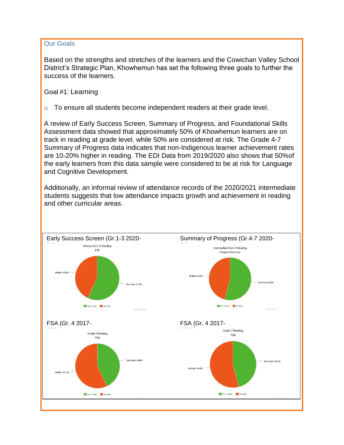## Our Goals

Based on the strengths and stretches of the learners and the Cowichan Valley School District's Strategic Plan, Khowhemun has set the following three goals to further the success of the learners.

Goal #1: Learning

o To ensure all students become independent readers at their grade level.

A review of Early Success Screen, Summary of Progress, and Foundational Skills Assessment data showed that approximately 50% of Khowhemun learners are on track in reading at grade level, while 50% are considered at risk. The Grade 4-7 Summary of Progress data indicates that non-Indigenous learner achievement rates are 10-20% higher in reading. The EDI Data from 2019/2020 also shows that 50%of the early learners from this data sample were considered to be at risk for Language and Cognitive Development.

Additionally, an informal review of attendance records of the 2020/2021 intermediate students suggests that low attendance impacts growth and achievement in reading and other curricular areas.

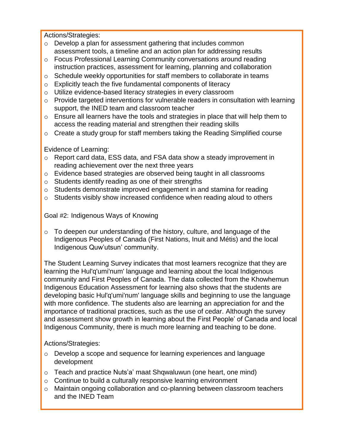Actions/Strategies:

- o Develop a plan for assessment gathering that includes common assessment tools, a timeline and an action plan for addressing results
- o Focus Professional Learning Community conversations around reading instruction practices, assessment for learning, planning and collaboration
- o Schedule weekly opportunities for staff members to collaborate in teams
- o Explicitly teach the five fundamental components of literacy
- o Utilize evidence-based literacy strategies in every classroom
- o Provide targeted interventions for vulnerable readers in consultation with learning support, the INED team and classroom teacher
- o Ensure all learners have the tools and strategies in place that will help them to access the reading material and strengthen their reading skills
- $\circ$  Create a study group for staff members taking the Reading Simplified course

Evidence of Learning:

- o Report card data, ESS data, and FSA data show a steady improvement in reading achievement over the next three years
- o Evidence based strategies are observed being taught in all classrooms
- o Students identify reading as one of their strengths
- o Students demonstrate improved engagement in and stamina for reading
- o Students visibly show increased confidence when reading aloud to others

Goal #2: Indigenous Ways of Knowing

o To deepen our understanding of the history, culture, and language of the Indigenous Peoples of Canada (First Nations, Inuit and Métis) and the local Indigenous Quw'utsun' community.

The Student Learning Survey indicates that most learners recognize that they are learning the Hul'q'umi'num' language and learning about the local Indigenous community and First Peoples of Canada. The data collected from the Khowhemun Indigenous Education Assessment for learning also shows that the students are developing basic Hul'q'umi'num' language skills and beginning to use the language with more confidence. The students also are learning an appreciation for and the importance of traditional practices, such as the use of cedar. Although the survey and assessment show growth in learning about the First People' of Canada and local Indigenous Community, there is much more learning and teaching to be done.

Actions/Strategies:

- o Develop a scope and sequence for learning experiences and language development
- o Teach and practice Nuts'a' maat Shqwaluwun (one heart, one mind)
- o Continue to build a culturally responsive learning environment
- o Maintain ongoing collaboration and co-planning between classroom teachers and the INED Team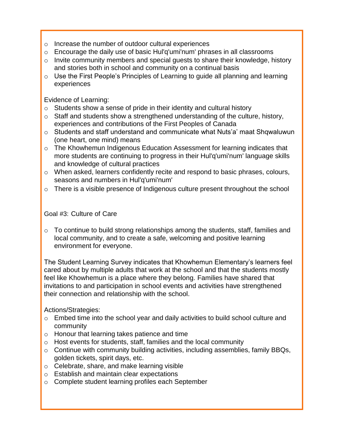- o Increase the number of outdoor cultural experiences
- o Encourage the daily use of basic Hul'q'umi'num' phrases in all classrooms
- o Invite community members and special guests to share their knowledge, history and stories both in school and community on a continual basis
- o Use the First People's Principles of Learning to guide all planning and learning experiences

Evidence of Learning:

- $\circ$  Students show a sense of pride in their identity and cultural history
- o Staff and students show a strengthened understanding of the culture, history, experiences and contributions of the First Peoples of Canada
- o Students and staff understand and communicate what Nuts'a' maat Shqwaluwun (one heart, one mind) means
- o The Khowhemun Indigenous Education Assessment for learning indicates that more students are continuing to progress in their Hul'q'umi'num' language skills and knowledge of cultural practices
- o When asked, learners confidently recite and respond to basic phrases, colours, seasons and numbers in Hul'q'umi'num'
- o There is a visible presence of Indigenous culture present throughout the school

Goal #3: Culture of Care

o To continue to build strong relationships among the students, staff, families and local community, and to create a safe, welcoming and positive learning environment for everyone.

The Student Learning Survey indicates that Khowhemun Elementary's learners feel cared about by multiple adults that work at the school and that the students mostly feel like Khowhemun is a place where they belong. Families have shared that invitations to and participation in school events and activities have strengthened their connection and relationship with the school.

Actions/Strategies:

- o Embed time into the school year and daily activities to build school culture and community
- o Honour that learning takes patience and time
- o Host events for students, staff, families and the local community
- o Continue with community building activities, including assemblies, family BBQs, golden tickets, spirit days, etc.
- o Celebrate, share, and make learning visible
- o Establish and maintain clear expectations
- o Complete student learning profiles each September